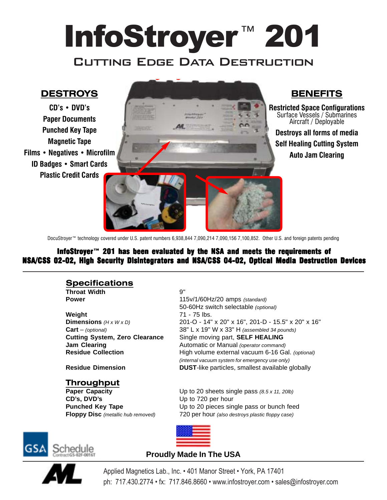# InfoStroyer™ 201 **CUTTING EDGE DATA DESTRUCTION**

### **DESTROYS**

**CDís ï DVDís Paper Documents Punched Key Tape Magnetic Tape Films • Negatives • Microfilm ID Badges • Smart Cards Plastic Credit Cards**



**Restricted Space Configurations** Surface Vessels / Submarines Aircraft / Deployable **Destroys all forms of media Self Healing Cutting System Auto Jam Clearing**

DocuStroyer<sup>™</sup> technology covered under U.S. patent numbers 6,938,844 7,090,214 7,090,156 7,100,852. Other U.S. and foreign patents pending

PAPER DOCUMENTS

#### InfoStroyer<sup>114</sup> 201 has been evaluated by the NSA and meets the requirements of NSA/CSS 02-02, High Security Disintegrators and NSA/CSS 04-02, Optical Media Destruction Devices

#### **Specifications**

**Throat Width** 9"

**Weight** 71 - 75 lbs.

**Power** 115v/1/60Hz/20 amps (standard) 50-60Hz switch selectable (optional) **Dimensions** (H x W x D) 201-O - 14" x 20" x 16", 201-D - 15.5" x 20" x 16" **Cart** – (optional) 38" L x 19" W x 33" H (assembled 34 pounds) **Cutting System, Zero Clearance** Single moving part, **SELF HEALING Jam Clearing** The Clearing Automatic or Manual (operator command) **Residue Collection High volume external vacuum 6-16 Gal.** (optional) (internal vacuum system for emergency use only) **Residue Dimension DUST**-like particles, smallest available globally

#### **Throughput**

**CD's, DVD's** Up to 720 per hour

**Paper Capacity** Up to 20 sheets single pass (8.5 x 11, 20lb) **Punched Key Tape** Up to 20 pieces single pass or bunch feed **Floppy Disc** (metallic hub removed) 720 per hour (also destroys plastic floppy case)





#### **Proudly Made In The USA**

Applied Magnetics Lab., Inc. • 401 Manor Street • York, PA 17401 ph: 717.430.2774 • fx: 717.846.8660 • www.infostroyer.com • sales@infostroyer.com